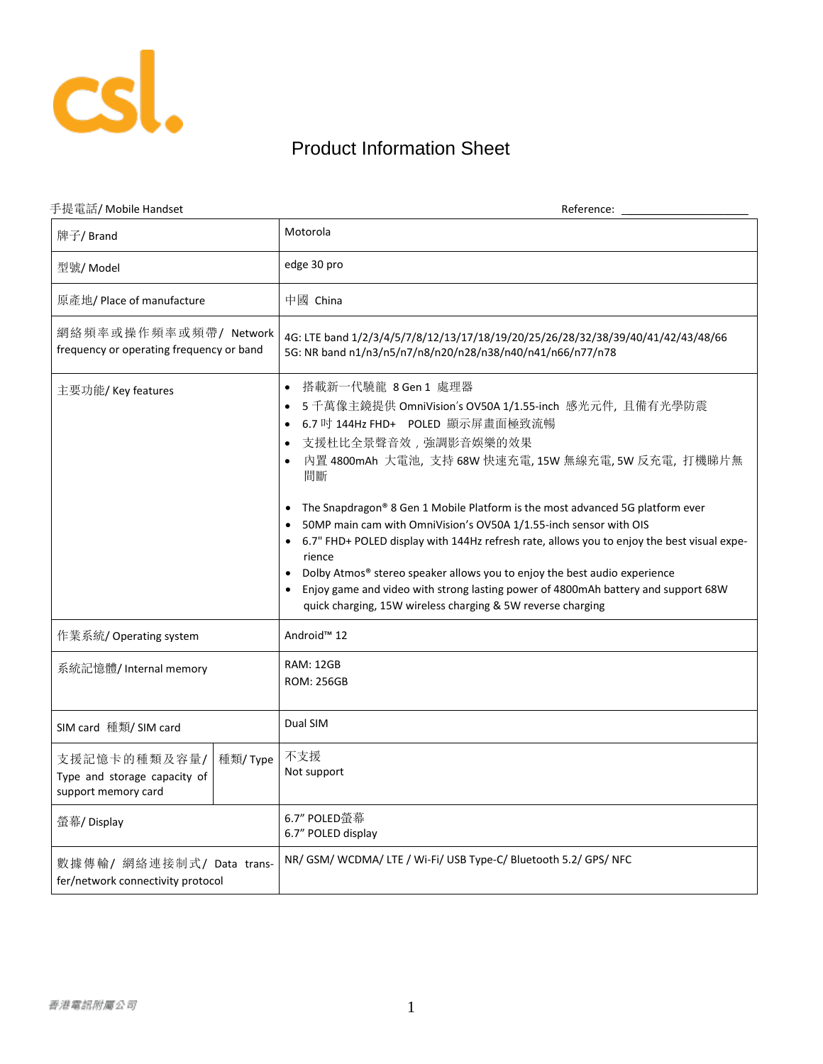

## Product Information Sheet

| 手提電話/ Mobile Handset                                                           | Reference:                                                                                                                                                                                                                                                                                                                                                                                                                                                                                                                                                                                                                                                                                                         |
|--------------------------------------------------------------------------------|--------------------------------------------------------------------------------------------------------------------------------------------------------------------------------------------------------------------------------------------------------------------------------------------------------------------------------------------------------------------------------------------------------------------------------------------------------------------------------------------------------------------------------------------------------------------------------------------------------------------------------------------------------------------------------------------------------------------|
| 牌子/ Brand                                                                      | Motorola                                                                                                                                                                                                                                                                                                                                                                                                                                                                                                                                                                                                                                                                                                           |
| 型號/ Model                                                                      | edge 30 pro                                                                                                                                                                                                                                                                                                                                                                                                                                                                                                                                                                                                                                                                                                        |
| 原產地/ Place of manufacture                                                      | 中國 China                                                                                                                                                                                                                                                                                                                                                                                                                                                                                                                                                                                                                                                                                                           |
| 網絡頻率或操作頻率或頻帶/ Network<br>frequency or operating frequency or band              | 4G: LTE band 1/2/3/4/5/7/8/12/13/17/18/19/20/25/26/28/32/38/39/40/41/42/43/48/66<br>5G: NR band n1/n3/n5/n7/n8/n20/n28/n38/n40/n41/n66/n77/n78                                                                                                                                                                                                                                                                                                                                                                                                                                                                                                                                                                     |
| 主要功能/ Key features                                                             | 搭載新一代驍龍 8 Gen 1 處理器<br>$\bullet$<br>5 千萬像主鏡提供 OmniVision's OV50A 1/1.55-inch 感光元件, 且備有光學防震<br>6.7 吋 144Hz FHD+ POLED 顯示屏畫面極致流暢<br>支援杜比全景聲音效,強調影音娛樂的效果<br>內置 4800mAh 大電池, 支持 68W 快速充電, 15W 無線充電, 5W 反充電, 打機睇片無<br>間斷<br>The Snapdragon® 8 Gen 1 Mobile Platform is the most advanced 5G platform ever<br>50MP main cam with OmniVision's OV50A 1/1.55-inch sensor with OIS<br>6.7" FHD+ POLED display with 144Hz refresh rate, allows you to enjoy the best visual expe-<br>rience<br>Dolby Atmos® stereo speaker allows you to enjoy the best audio experience<br>Enjoy game and video with strong lasting power of 4800mAh battery and support 68W<br>quick charging, 15W wireless charging & 5W reverse charging |
| 作業系統/ Operating system                                                         | Android <sup>™</sup> 12                                                                                                                                                                                                                                                                                                                                                                                                                                                                                                                                                                                                                                                                                            |
| 系統記憶體/Internal memory                                                          | <b>RAM: 12GB</b><br><b>ROM: 256GB</b>                                                                                                                                                                                                                                                                                                                                                                                                                                                                                                                                                                                                                                                                              |
| SIM card 種類/ SIM card                                                          | Dual SIM                                                                                                                                                                                                                                                                                                                                                                                                                                                                                                                                                                                                                                                                                                           |
| 支援記憶卡的種類及容量/<br>種類/Type<br>Type and storage capacity of<br>support memory card | 不支援<br>Not support                                                                                                                                                                                                                                                                                                                                                                                                                                                                                                                                                                                                                                                                                                 |
| 螢幕/ Display                                                                    | 6.7" POLED螢幕<br>6.7" POLED display                                                                                                                                                                                                                                                                                                                                                                                                                                                                                                                                                                                                                                                                                 |
| 數據傳輸/ 網絡連接制式/ Data trans-<br>fer/network connectivity protocol                 | NR/ GSM/ WCDMA/ LTE / Wi-Fi/ USB Type-C/ Bluetooth 5.2/ GPS/ NFC                                                                                                                                                                                                                                                                                                                                                                                                                                                                                                                                                                                                                                                   |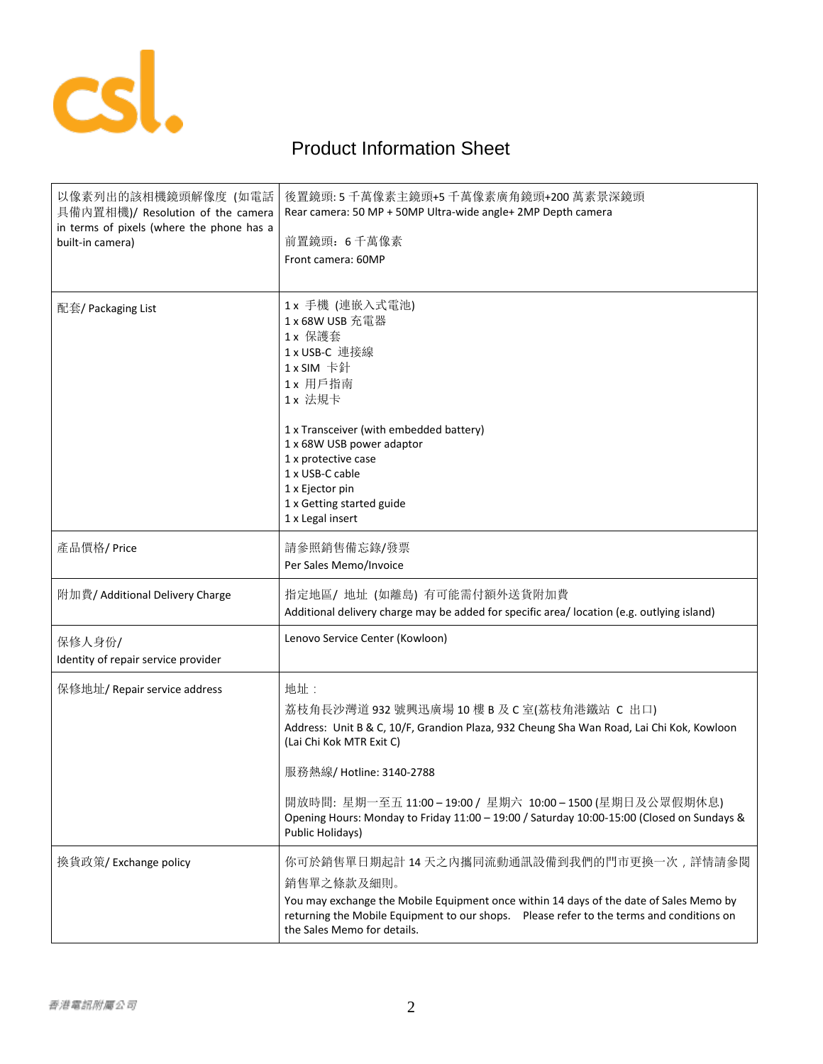

## Product Information Sheet

| 以像素列出的該相機鏡頭解像度 (如電話<br>具備內置相機)/ Resolution of the camera<br>in terms of pixels (where the phone has a<br>built-in camera) | 後置鏡頭: 5 千萬像素主鏡頭+5 千萬像素廣角鏡頭+200 萬素景深鏡頭<br>Rear camera: 50 MP + 50MP Ultra-wide angle+ 2MP Depth camera<br>前置鏡頭: 6千萬像素<br>Front camera: 60MP                                                                                                                                                                                                                                              |
|---------------------------------------------------------------------------------------------------------------------------|-----------------------------------------------------------------------------------------------------------------------------------------------------------------------------------------------------------------------------------------------------------------------------------------------------------------------------------------------------------------------------------------|
| 配套/ Packaging List                                                                                                        | 1 x 手機 (連嵌入式電池)<br>1 x 68W USB 充電器<br>1 x 保護套<br>1 x USB-C 連接線<br>1 x SIM 卡針<br>1 x 用戶指南<br>1 x 法規卡<br>1 x Transceiver (with embedded battery)<br>1 x 68W USB power adaptor<br>1 x protective case<br>1 x USB-C cable<br>1 x Ejector pin<br>1 x Getting started guide<br>1 x Legal insert                                                                                               |
| 產品價格/Price                                                                                                                | 請參照銷售備忘錄/發票<br>Per Sales Memo/Invoice                                                                                                                                                                                                                                                                                                                                                   |
| 附加費/ Additional Delivery Charge                                                                                           | 指定地區/ 地址 (如離島) 有可能需付額外送貨附加費<br>Additional delivery charge may be added for specific area/ location (e.g. outlying island)                                                                                                                                                                                                                                                               |
| 保修人身份/<br>Identity of repair service provider                                                                             | Lenovo Service Center (Kowloon)                                                                                                                                                                                                                                                                                                                                                         |
| 保修地址/ Repair service address                                                                                              | 地址:<br>荔枝角長沙灣道 932 號興迅廣場 10 樓 B 及 C 室(荔枝角港鐵站 C 出口)<br>Address: Unit B & C, 10/F, Grandion Plaza, 932 Cheung Sha Wan Road, Lai Chi Kok, Kowloon<br>(Lai Chi Kok MTR Exit C)<br>服務熱線/ Hotline: 3140-2788<br>開放時間: 星期一至五 11:00-19:00 / 星期六 10:00-1500 (星期日及公眾假期休息)<br>Opening Hours: Monday to Friday 11:00 - 19:00 / Saturday 10:00-15:00 (Closed on Sundays &<br><b>Public Holidays)</b> |
| 換貨政策/ Exchange policy                                                                                                     | 你可於銷售單日期起計 14 天之内攜同流動通訊設備到我們的門市更換一次,詳情請參閱<br>銷售單之條款及細則。<br>You may exchange the Mobile Equipment once within 14 days of the date of Sales Memo by<br>returning the Mobile Equipment to our shops.  Please refer to the terms and conditions on<br>the Sales Memo for details.                                                                                                           |